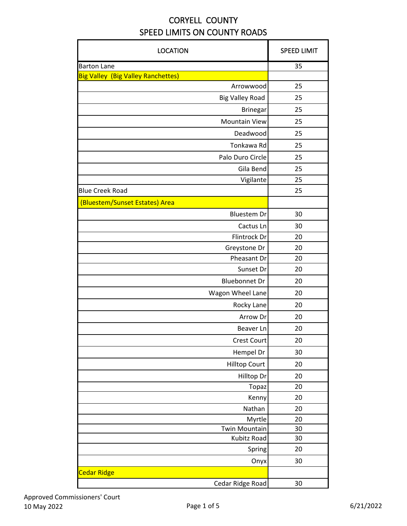| <b>LOCATION</b>                           | <b>SPEED LIMIT</b> |
|-------------------------------------------|--------------------|
| <b>Barton Lane</b>                        | 35                 |
| <b>Big Valley (Big Valley Ranchettes)</b> |                    |
| Arrowwood                                 | 25                 |
| <b>Big Valley Road</b>                    | 25                 |
| <b>Brinegar</b>                           | 25                 |
| <b>Mountain View</b>                      | 25                 |
| Deadwood                                  | 25                 |
| Tonkawa Rd                                | 25                 |
| Palo Duro Circle                          | 25                 |
| Gila Bend                                 | 25                 |
| Vigilante                                 | 25                 |
| <b>Blue Creek Road</b>                    | 25                 |
| (Bluestem/Sunset Estates) Area            |                    |
| <b>Bluestem Dr</b>                        | 30                 |
| Cactus Ln                                 | 30                 |
| Flintrock Dr                              | 20                 |
| Greystone Dr                              | 20                 |
| Pheasant Dr                               | 20                 |
| Sunset Dr                                 | 20                 |
| <b>Bluebonnet Dr</b>                      | 20                 |
| Wagon Wheel Lane                          | 20                 |
| Rocky Lane                                | 20                 |
| Arrow Dr                                  | 20                 |
| Beaver Ln                                 | 20                 |
| <b>Crest Court</b>                        | 20                 |
| Hempel Dr                                 | 30                 |
| <b>Hilltop Court</b>                      | 20                 |
| Hilltop Dr                                | 20                 |
| Topaz                                     | 20                 |
| Kenny                                     | 20                 |
| Nathan                                    | 20                 |
| Myrtle                                    | 20                 |
| <b>Twin Mountain</b>                      | 30                 |
| Kubitz Road                               | 30                 |
| Spring                                    | 20                 |
| Onyx                                      | 30                 |
| <b>Cedar Ridge</b>                        |                    |
| Cedar Ridge Road                          | 30                 |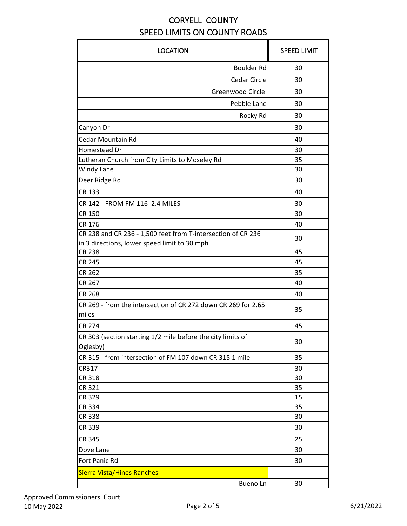| <b>LOCATION</b>                                                         | <b>SPEED LIMIT</b> |
|-------------------------------------------------------------------------|--------------------|
| Boulder Rd                                                              | 30                 |
| Cedar Circle                                                            | 30                 |
| Greenwood Circle                                                        | 30                 |
| Pebble Lane                                                             | 30                 |
| Rocky Rd                                                                | 30                 |
| Canyon Dr                                                               | 30                 |
| Cedar Mountain Rd                                                       | 40                 |
| Homestead Dr                                                            | 30                 |
| Lutheran Church from City Limits to Moseley Rd                          | 35                 |
| Windy Lane                                                              | 30                 |
| Deer Ridge Rd                                                           | 30                 |
| <b>CR 133</b>                                                           | 40                 |
| CR 142 - FROM FM 116 2.4 MILES                                          | 30                 |
| <b>CR 150</b>                                                           | 30                 |
| CR 176                                                                  | 40                 |
| CR 238 and CR 236 - 1,500 feet from T-intersection of CR 236            |                    |
| in 3 directions, lower speed limit to 30 mph                            | 30                 |
| <b>CR 238</b>                                                           | 45                 |
| <b>CR 245</b>                                                           | 45                 |
| <b>CR 262</b>                                                           | 35                 |
| <b>CR 267</b>                                                           | 40                 |
| <b>CR 268</b>                                                           | 40                 |
| CR 269 - from the intersection of CR 272 down CR 269 for 2.65<br>miles  | 35                 |
| <b>CR 274</b>                                                           | 45                 |
| CR 303 (section starting 1/2 mile before the city limits of<br>Oglesby) | 30                 |
| CR 315 - from intersection of FM 107 down CR 315 1 mile                 | 35                 |
| CR317                                                                   | 30                 |
| <b>CR 318</b>                                                           | 30                 |
| CR 321                                                                  | 35                 |
| <b>CR 329</b>                                                           | 15                 |
| <b>CR 334</b>                                                           | 35                 |
| <b>CR 338</b>                                                           | 30                 |
| CR 339                                                                  | 30                 |
| <b>CR 345</b>                                                           | 25                 |
| Dove Lane                                                               | 30                 |
| Fort Panic Rd                                                           | 30                 |
| <b>Sierra Vista/Hines Ranches</b>                                       |                    |
| Bueno Ln                                                                | 30                 |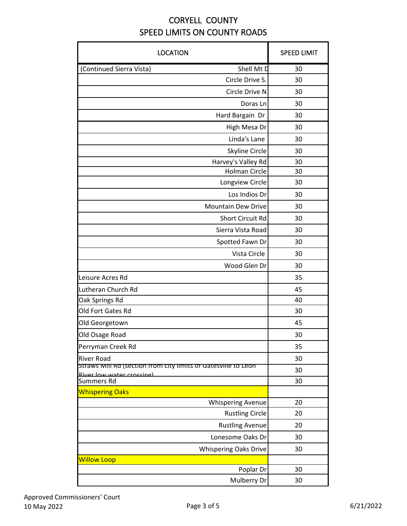| <b>LOCATION</b>                                                  | <b>SPEED LIMIT</b> |
|------------------------------------------------------------------|--------------------|
| Shell Mt D<br>(Continued Sierra Vista)                           | 30                 |
| Circle Drive S.                                                  | 30                 |
| Circle Drive N                                                   | 30                 |
| Doras Ln                                                         | 30                 |
| Hard Bargain Dr                                                  | 30                 |
| High Mesa Dr                                                     | 30                 |
| Linda's Lane                                                     | 30                 |
| Skyline Circle                                                   | 30                 |
| Harvey's Valley Rd                                               | 30                 |
| <b>Holman Circle</b>                                             | 30                 |
| Longview Circle                                                  | 30                 |
| Los Indios Dr                                                    | 30                 |
| <b>Mountain Dew Drive</b>                                        | 30                 |
| <b>Short Circuit Rd</b>                                          | 30                 |
| Sierra Vista Road                                                | 30                 |
| Spotted Fawn Dr                                                  | 30                 |
| Vista Circle                                                     | 30                 |
| Wood Glen Dr                                                     | 30                 |
| Leisure Acres Rd                                                 | 35                 |
| Lutheran Church Rd                                               | 45                 |
| Oak Springs Rd                                                   | 40                 |
| Old Fort Gates Rd                                                | 30                 |
| Old Georgetown                                                   | 45                 |
| Old Osage Road                                                   | 30                 |
| Perryman Creek Rd                                                | 35                 |
| <b>River Road</b>                                                | 30                 |
| Straws ivilii kd (section from city limits of Gatesville to Leon | 30                 |
| River low water crossing)<br><b>Summers Rd</b>                   | 30                 |
| <b>Whispering Oaks</b>                                           |                    |
| <b>Whispering Avenue</b>                                         | 20                 |
| <b>Rustling Circle</b>                                           | 20                 |
| <b>Rustling Avenue</b>                                           | 20                 |
| Lonesome Oaks Dr                                                 | 30                 |
| <b>Whispering Oaks Drive</b>                                     | 30                 |
| <b>Willow Loop</b>                                               |                    |
| Poplar Dr                                                        | 30                 |
| Mulberry Dr                                                      | 30                 |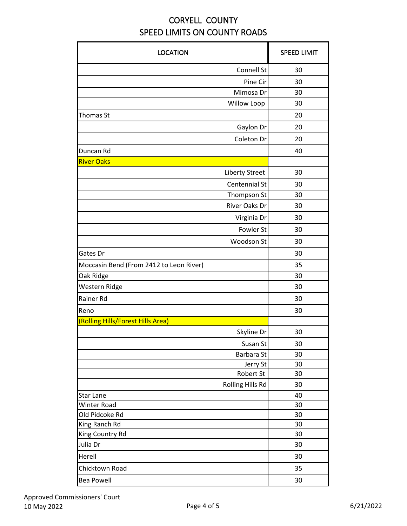| <b>LOCATION</b>                         | <b>SPEED LIMIT</b> |
|-----------------------------------------|--------------------|
| <b>Connell St</b>                       | 30                 |
| Pine Cir                                | 30                 |
| Mimosa Dr                               | 30                 |
| Willow Loop                             | 30                 |
| <b>Thomas St</b>                        | 20                 |
| Gaylon Dr                               | 20                 |
| Coleton Dr                              | 20                 |
| Duncan Rd                               | 40                 |
| <b>River Oaks</b>                       |                    |
| <b>Liberty Street</b>                   | 30                 |
| Centennial St                           | 30                 |
| Thompson St                             | 30                 |
| River Oaks Dr                           | 30                 |
| Virginia Dr                             | 30                 |
| Fowler St                               | 30                 |
| Woodson St                              | 30                 |
| Gates Dr                                | 30                 |
| Moccasin Bend (From 2412 to Leon River) | 35                 |
| Oak Ridge                               | 30                 |
| Western Ridge                           | 30                 |
| Rainer Rd                               | 30                 |
| Reno                                    | 30                 |
| (Rolling Hills/Forest Hills Area)       |                    |
| Skyline Dr                              | 30                 |
| Susan St                                | 30                 |
| Barbara St                              | 30                 |
| Jerry St                                | 30                 |
| Robert St                               | 30                 |
| Rolling Hills Rd                        | 30                 |
| <b>Star Lane</b>                        | 40                 |
| <b>Winter Road</b>                      | 30                 |
| Old Pidcoke Rd                          | 30                 |
| King Ranch Rd                           | 30                 |
| King Country Rd                         | 30                 |
| Julia Dr                                | 30                 |
| Herell                                  | 30                 |
| Chicktown Road                          | 35                 |
| <b>Bea Powell</b>                       | 30                 |